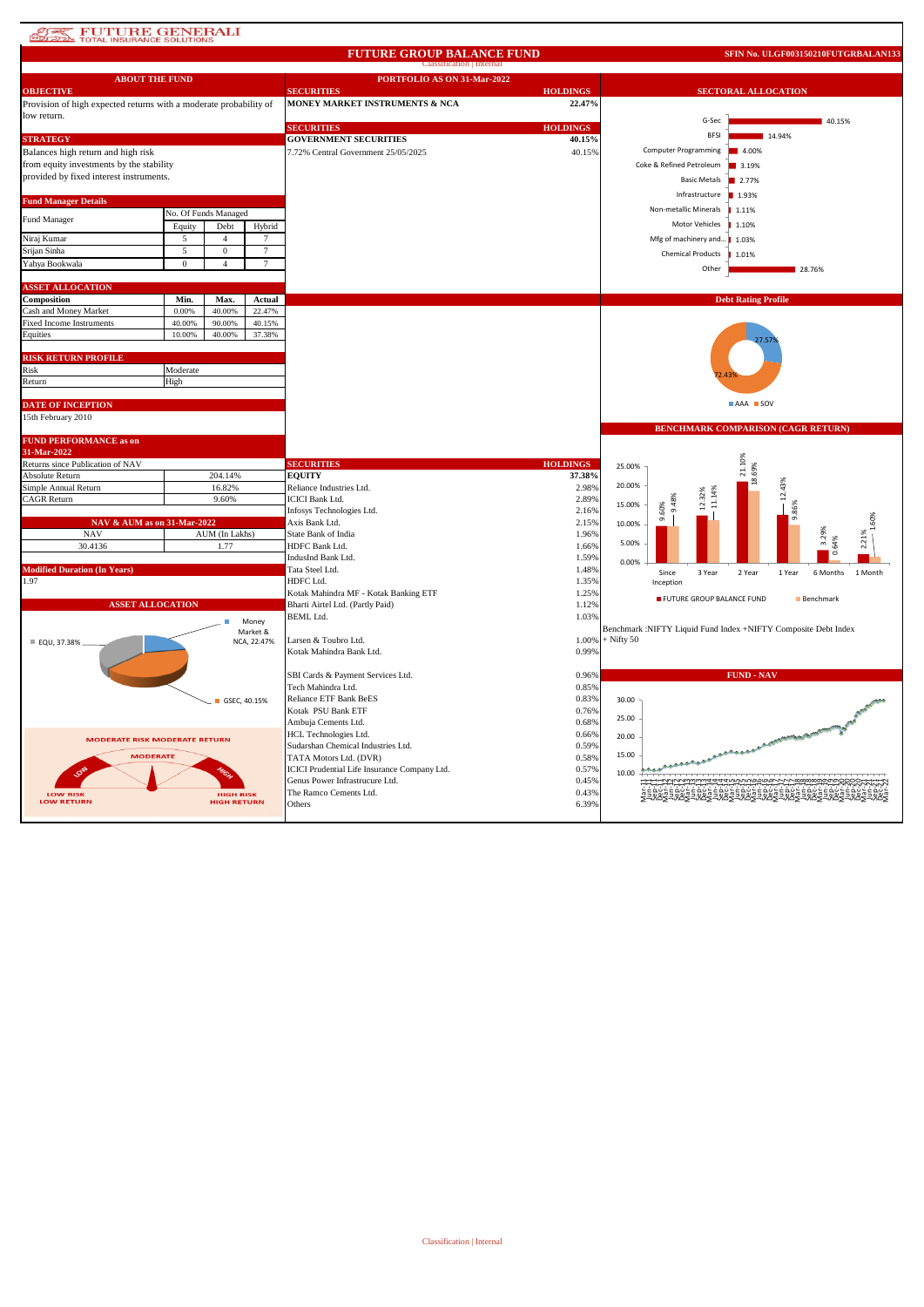### **ATES FUTURE GENERALI**

### **FUTURE GROUP BALANCE FUND**

**SFIN No. ULGF003150210FUTGRBALAN133**

|                                                                   |                      |                    |                 | <b>Classification</b>   Internal             |                                   |                                                                |  |  |  |  |  |
|-------------------------------------------------------------------|----------------------|--------------------|-----------------|----------------------------------------------|-----------------------------------|----------------------------------------------------------------|--|--|--|--|--|
| <b>ABOUT THE FUND</b>                                             |                      |                    |                 | PORTFOLIO AS ON 31-Mar-2022                  |                                   |                                                                |  |  |  |  |  |
| <b>OBJECTIVE</b>                                                  |                      |                    |                 | <b>SECURITIES</b>                            | <b>HOLDINGS</b>                   | <b>SECTORAL ALLOCATION</b>                                     |  |  |  |  |  |
| Provision of high expected returns with a moderate probability of |                      |                    |                 | MONEY MARKET INSTRUMENTS & NCA               | 22.47%                            |                                                                |  |  |  |  |  |
| low return.                                                       |                      |                    |                 |                                              |                                   | G-Sec<br>40.15%                                                |  |  |  |  |  |
|                                                                   |                      |                    |                 | <b>SECURITIES</b>                            | <b>HOLDINGS</b>                   |                                                                |  |  |  |  |  |
| <b>STRATEGY</b>                                                   |                      |                    |                 | <b>GOVERNMENT SECURITIES</b>                 | 40.15%                            | <b>BFSI</b><br>14.94%                                          |  |  |  |  |  |
| Balances high return and high risk                                |                      |                    |                 | 7.72% Central Government 25/05/2025          | 40.15%                            | <b>Computer Programming</b><br>4.00%                           |  |  |  |  |  |
| from equity investments by the stability                          |                      |                    |                 |                                              | Coke & Refined Petroleum<br>3.19% |                                                                |  |  |  |  |  |
| provided by fixed interest instruments.                           |                      |                    |                 |                                              |                                   |                                                                |  |  |  |  |  |
|                                                                   |                      |                    |                 |                                              |                                   | <b>Basic Metals</b><br>2.77%                                   |  |  |  |  |  |
| <b>Fund Manager Details</b>                                       |                      |                    |                 |                                              |                                   | ■ 1.93%<br>Infrastructure                                      |  |  |  |  |  |
|                                                                   | No. Of Funds Managed |                    |                 |                                              |                                   | Non-metallic Minerals<br>1.11%                                 |  |  |  |  |  |
| Fund Manager                                                      | Equity               | Debt               | Hybrid          |                                              |                                   | Motor Vehicles<br>1.10%                                        |  |  |  |  |  |
| Niraj Kumar                                                       | 5                    | $\overline{4}$     | $7\phantom{.0}$ |                                              |                                   | Mfg of machinery and<br>1.03%                                  |  |  |  |  |  |
| Srijan Sinha                                                      | 5                    | $\mathbf 0$        | $\tau$          |                                              |                                   |                                                                |  |  |  |  |  |
| Yahya Bookwala                                                    | $\bf{0}$             | $\overline{4}$     | $7\phantom{.0}$ |                                              |                                   | <b>Chemical Products</b><br>1.01%                              |  |  |  |  |  |
|                                                                   |                      |                    |                 |                                              |                                   | Other<br>28.76%                                                |  |  |  |  |  |
| <b>ASSET ALLOCATION</b>                                           |                      |                    |                 |                                              |                                   |                                                                |  |  |  |  |  |
| Composition                                                       | Min.                 | Max.               | Actual          |                                              |                                   |                                                                |  |  |  |  |  |
|                                                                   | 0.00%                | 40.00%             | 22.47%          |                                              |                                   | <b>Debt Rating Profile</b>                                     |  |  |  |  |  |
| Cash and Money Market<br><b>Fixed Income Instruments</b>          | 40.00%               | 90.00%             | 40.15%          |                                              |                                   |                                                                |  |  |  |  |  |
| Equities                                                          | 10.00%               | 40.00%             | 37.38%          |                                              |                                   |                                                                |  |  |  |  |  |
|                                                                   |                      |                    |                 |                                              |                                   |                                                                |  |  |  |  |  |
| <b>RISK RETURN PROFILE</b>                                        |                      |                    |                 |                                              |                                   |                                                                |  |  |  |  |  |
| Risk                                                              | Moderate             |                    |                 |                                              |                                   |                                                                |  |  |  |  |  |
| Return                                                            | High                 |                    |                 |                                              |                                   |                                                                |  |  |  |  |  |
|                                                                   |                      |                    |                 |                                              |                                   |                                                                |  |  |  |  |  |
| <b>DATE OF INCEPTION</b>                                          |                      |                    |                 |                                              |                                   | AAA SOV                                                        |  |  |  |  |  |
| 15th February 2010                                                |                      |                    |                 |                                              |                                   |                                                                |  |  |  |  |  |
|                                                                   |                      |                    |                 |                                              |                                   | <b>BENCHMARK COMPARISON (CAGR RETURN)</b>                      |  |  |  |  |  |
| <b>FUND PERFORMANCE as on</b>                                     |                      |                    |                 |                                              |                                   |                                                                |  |  |  |  |  |
| 31-Mar-2022                                                       |                      |                    |                 |                                              |                                   |                                                                |  |  |  |  |  |
| Returns since Publication of NAV                                  |                      |                    |                 | <b>SECURITIES</b>                            | <b>HOLDINGS</b>                   | 25.00%                                                         |  |  |  |  |  |
| Absolute Return                                                   |                      | 204.14%            |                 | <b>EQUITY</b>                                | 37.38%                            | <b>GO</b><br>$\overline{z}$                                    |  |  |  |  |  |
| Simple Annual Return                                              |                      | 16.82%             |                 | Reliance Industries Ltd.                     | 2.98%                             | 20.00%                                                         |  |  |  |  |  |
| <b>CAGR Return</b>                                                |                      | 9.60%              |                 | <b>ICICI Bank Ltd.</b>                       | 2.89%                             |                                                                |  |  |  |  |  |
|                                                                   |                      |                    |                 | Infosys Technologies Ltd.                    | 2.16%                             | 15.00%<br>60%                                                  |  |  |  |  |  |
| NAV & AUM as on 31-Mar-2022                                       |                      |                    |                 | Axis Bank Ltd.                               | 2.15%                             | ൎ<br>10.00%                                                    |  |  |  |  |  |
| <b>NAV</b>                                                        |                      | AUM (In Lakhs)     |                 | <b>State Bank of India</b>                   | 1.96%                             | 3.29%                                                          |  |  |  |  |  |
| 30.4136                                                           |                      | 1.77               |                 | HDFC Bank Ltd.                               | 1.66%                             | 0.64%<br>2.21<br>5.00%                                         |  |  |  |  |  |
|                                                                   |                      |                    |                 | IndusInd Bank Ltd.                           | 1.59%                             | 0.00%                                                          |  |  |  |  |  |
| <b>Modified Duration (In Years)</b>                               |                      |                    |                 | Tata Steel Ltd.                              | 1.48%                             | Since<br>2 Year<br>3 Year<br>1 Year<br>6 Months<br>1 Month     |  |  |  |  |  |
| 1.97                                                              |                      |                    |                 | HDFC Ltd.                                    | 1.35%                             | Inception                                                      |  |  |  |  |  |
|                                                                   |                      |                    |                 | Kotak Mahindra MF - Kotak Banking ETF        | 1.25%                             | FUTURE GROUP BALANCE FUND<br>Benchmark                         |  |  |  |  |  |
| <b>ASSET ALLOCATION</b>                                           |                      |                    |                 | Bharti Airtel Ltd. (Partly Paid)             | 1.12%                             |                                                                |  |  |  |  |  |
|                                                                   |                      |                    | Money           | <b>BEML</b> Ltd.                             | 1.03%                             |                                                                |  |  |  |  |  |
|                                                                   |                      |                    | Market &        |                                              |                                   | Benchmark :NIFTY Liquid Fund Index +NIFTY Composite Debt Index |  |  |  |  |  |
| ■ EQU, 37.38%                                                     |                      |                    | NCA, 22.47%     | Larsen & Toubro Ltd.                         | 1.00%                             | $+$ Nifty 50                                                   |  |  |  |  |  |
|                                                                   |                      |                    |                 | Kotak Mahindra Bank Ltd.                     | 0.99%                             |                                                                |  |  |  |  |  |
|                                                                   |                      |                    |                 |                                              |                                   |                                                                |  |  |  |  |  |
|                                                                   |                      |                    |                 | SBI Cards & Payment Services Ltd.            | 0.96%                             | <b>FUND - NAV</b>                                              |  |  |  |  |  |
|                                                                   |                      |                    |                 | Tech Mahindra Ltd.                           | 0.85%                             |                                                                |  |  |  |  |  |
|                                                                   |                      | GSEC, 40.15%       |                 | Reliance ETF Bank BeES                       | 0.83%                             | 30.00                                                          |  |  |  |  |  |
|                                                                   |                      |                    |                 | Kotak PSU Bank ETF                           | 0.76%                             |                                                                |  |  |  |  |  |
|                                                                   |                      |                    |                 | Ambuja Cements Ltd.                          | 0.68%                             | 25.00                                                          |  |  |  |  |  |
| <b>MODERATE RISK MODERATE RETURN</b>                              |                      |                    |                 | HCL Technologies Ltd.                        | 0.66%                             | 20.00                                                          |  |  |  |  |  |
|                                                                   |                      |                    |                 | Sudarshan Chemical Industries Ltd.           | 0.59%                             |                                                                |  |  |  |  |  |
| <b>MODERATE</b>                                                   |                      |                    |                 | TATA Motors Ltd. (DVR)                       | 0.58%                             | 15.00                                                          |  |  |  |  |  |
|                                                                   |                      |                    |                 | ICICI Prudential Life Insurance Company Ltd. | 0.57%                             | 10.00                                                          |  |  |  |  |  |
|                                                                   |                      |                    |                 | Genus Power Infrastrucure Ltd.               | 0.45%                             | iww4444mnnnnoooorrrroooooooo                                   |  |  |  |  |  |
|                                                                   |                      |                    |                 |                                              |                                   |                                                                |  |  |  |  |  |
| <b>LOW RISK</b>                                                   |                      | <b>HIGH RISK</b>   |                 | The Ramco Cements Ltd.                       | 0.43%                             | <b>EARCEARCEARS</b>                                            |  |  |  |  |  |
| <b>LOW RETURN</b>                                                 |                      | <b>HIGH RETURN</b> |                 | Others                                       | 6.39%                             |                                                                |  |  |  |  |  |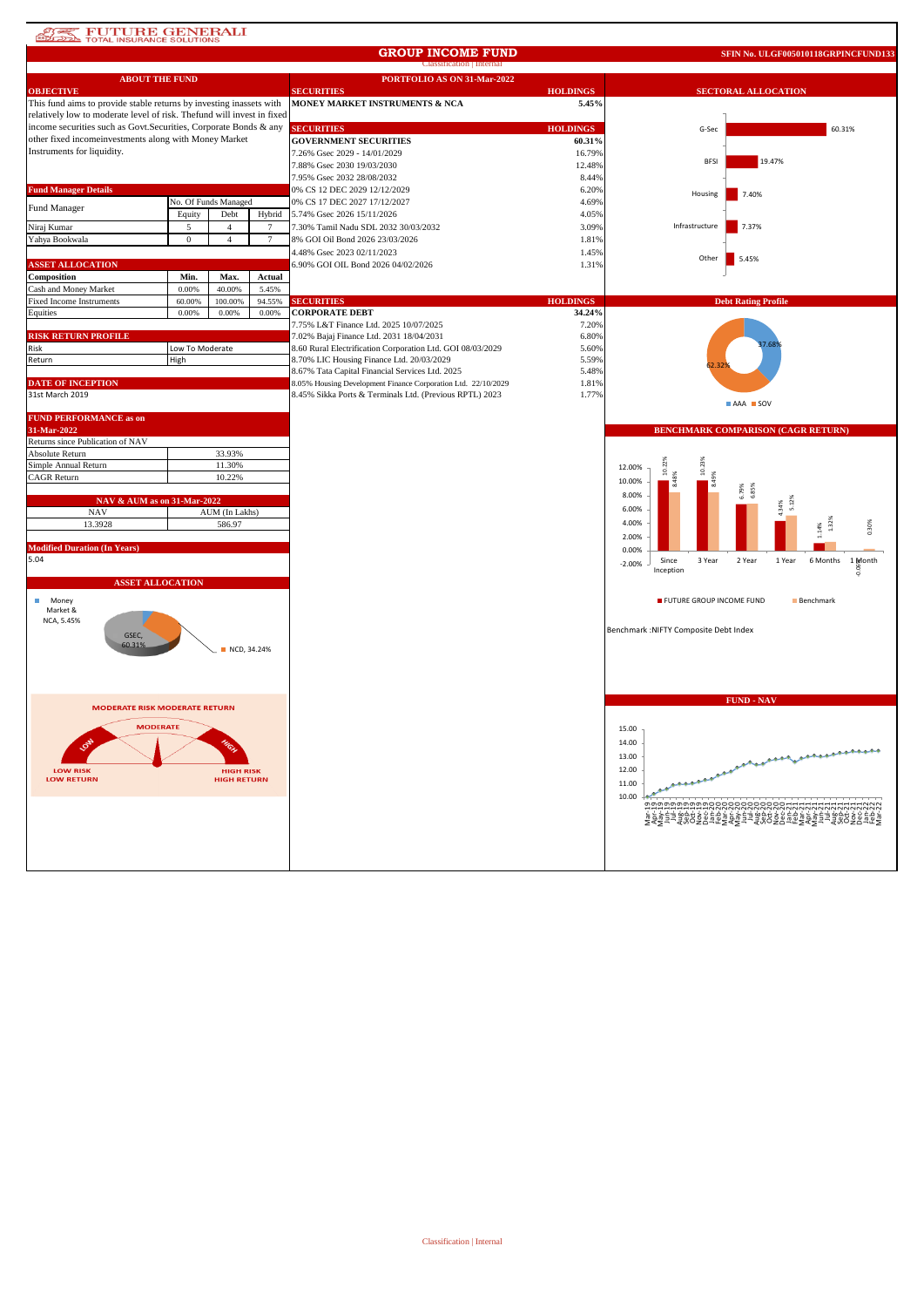# **ATEL FUTURE GENERALI**

### **GROUP INCOME FUND**

**SFIN No. ULGF005010118GRPINCFUND133**

|                                                                        |                 |                                        |        | <b>Classification</b>   Internal                              |                 |                                                                     |
|------------------------------------------------------------------------|-----------------|----------------------------------------|--------|---------------------------------------------------------------|-----------------|---------------------------------------------------------------------|
| <b>ABOUT THE FUND</b>                                                  |                 |                                        |        | PORTFOLIO AS ON 31-Mar-2022                                   |                 |                                                                     |
| <b>OBJECTIVE</b>                                                       |                 |                                        |        | <b>SECURITIES</b>                                             | <b>HOLDINGS</b> | <b>SECTORAL ALLOCATION</b>                                          |
| This fund aims to provide stable returns by investing inassets with    |                 |                                        |        | MONEY MARKET INSTRUMENTS & NCA                                | 5.45%           |                                                                     |
| relatively low to moderate level of risk. Thefund will invest in fixed |                 |                                        |        |                                                               |                 |                                                                     |
| income securities such as Govt. Securities, Corporate Bonds & any      |                 |                                        |        | <b>SECURITIES</b>                                             | <b>HOLDINGS</b> | G-Sec<br>60.31%                                                     |
| other fixed incomeinvestments along with Money Market                  |                 |                                        |        | <b>GOVERNMENT SECURITIES</b>                                  | 60.31%          |                                                                     |
| Instruments for liquidity.                                             |                 |                                        |        | 7.26% Gsec 2029 - 14/01/2029                                  | 16.79%          |                                                                     |
|                                                                        |                 |                                        |        | 7.88% Gsec 2030 19/03/2030                                    | 12.48%          | 19.47%<br><b>BFS</b>                                                |
|                                                                        |                 |                                        |        | 7.95% Gsec 2032 28/08/2032                                    | 8.44%           |                                                                     |
| <b>Fund Manager Details</b>                                            |                 |                                        |        | 0% CS 12 DEC 2029 12/12/2029                                  | 6.20%           |                                                                     |
|                                                                        |                 | No. Of Funds Managed                   |        | 0% CS 17 DEC 2027 17/12/2027                                  | 4.69%           | 7.40%<br>Housing                                                    |
| Fund Manager                                                           |                 | Debt                                   |        | 5.74% Gsec 2026 15/11/2026                                    |                 |                                                                     |
|                                                                        | Equity          |                                        | Hybrid |                                                               | 4.05%           | Infrastructure                                                      |
| Niraj Kumar                                                            | 5               | $\overline{4}$                         |        | 7.30% Tamil Nadu SDL 2032 30/03/2032                          | 3.09%           | 7.37%                                                               |
| Yahya Bookwala                                                         | $\overline{0}$  | $\overline{4}$                         | 7      | 8% GOI Oil Bond 2026 23/03/2026                               | 1.81%           |                                                                     |
|                                                                        |                 |                                        |        | 4.48% Gsec 2023 02/11/2023                                    | 1.45%           | Other<br>5.45%                                                      |
| <b>ASSET ALLOCATION</b>                                                |                 |                                        |        | 6.90% GOI OIL Bond 2026 04/02/2026                            | 1.31%           |                                                                     |
| Composition                                                            | Min.            | Max.                                   | Actual |                                                               |                 |                                                                     |
| Cash and Money Market                                                  | 0.00%           | 40.00%                                 | 5.45%  |                                                               |                 |                                                                     |
| Fixed Income Instruments                                               | 60.00%          | 100.00%                                | 94.55% | <b>SECURITIES</b>                                             | <b>HOLDINGS</b> | <b>Debt Rating Profile</b>                                          |
| Equities                                                               | 0.00%           | 0.00%                                  | 0.00%  | <b>CORPORATE DEBT</b>                                         | 34.24%          |                                                                     |
|                                                                        |                 |                                        |        | 7.75% L&T Finance Ltd. 2025 10/07/2025                        | 7.20%           |                                                                     |
| <b>RISK RETURN PROFILE</b>                                             |                 |                                        |        | 7.02% Bajaj Finance Ltd. 2031 18/04/2031                      | 6.80%           |                                                                     |
| Risk                                                                   | Low To Moderate |                                        |        | 8.60 Rural Electrification Corporation Ltd. GOI 08/03/2029    | 5.60%           |                                                                     |
| Return                                                                 | High            |                                        |        | 8.70% LIC Housing Finance Ltd. 20/03/2029                     | 5.59%           |                                                                     |
|                                                                        |                 |                                        |        | 8.67% Tata Capital Financial Services Ltd. 2025               | 5.48%           |                                                                     |
| <b>DATE OF INCEPTION</b>                                               |                 |                                        |        | 8.05% Housing Development Finance Corporation Ltd. 22/10/2029 | 1.81%           |                                                                     |
| 31st March 2019                                                        |                 |                                        |        | 8.45% Sikka Ports & Terminals Ltd. (Previous RPTL) 2023       | 1.77%           |                                                                     |
|                                                                        |                 |                                        |        |                                                               |                 | AAA SOV                                                             |
| <b>FUND PERFORMANCE as on</b>                                          |                 |                                        |        |                                                               |                 |                                                                     |
| 31-Mar-2022                                                            |                 |                                        |        |                                                               |                 | BENCHMARK COMPARISON (CAGR RETURN)                                  |
| Returns since Publication of NAV                                       |                 |                                        |        |                                                               |                 |                                                                     |
| Absolute Return                                                        |                 | 33.93%                                 |        |                                                               |                 |                                                                     |
| Simple Annual Return                                                   |                 | 11.30%                                 |        |                                                               |                 | 10.23<br>12.00%                                                     |
| CAGR Return                                                            |                 | 10.22%                                 |        |                                                               |                 | 10.00%                                                              |
|                                                                        |                 |                                        |        |                                                               |                 | 8.00%                                                               |
| NAV & AUM as on 31-Mar-2022                                            |                 |                                        |        |                                                               |                 |                                                                     |
| <b>NAV</b>                                                             |                 | AUM (In Lakhs)                         |        |                                                               |                 | 6.00%                                                               |
| 13.3928<br>586.97                                                      |                 |                                        |        |                                                               |                 | 1.32%<br>4.00%<br>0.30%<br>.14%                                     |
|                                                                        |                 |                                        |        |                                                               |                 | 2.00%                                                               |
| <b>Modified Duration (In Years)</b>                                    |                 |                                        |        |                                                               |                 | 0.00%                                                               |
| 5.04                                                                   |                 |                                        |        |                                                               |                 | Since<br>3 Year<br>2 Year<br>1 Year<br>6 Months 1 Month<br>$-2.00%$ |
|                                                                        |                 |                                        |        |                                                               |                 | Inception                                                           |
| <b>ASSET ALLOCATION</b>                                                |                 |                                        |        |                                                               |                 |                                                                     |
| ш<br>Money                                                             |                 |                                        |        |                                                               |                 | FUTURE GROUP INCOME FUND<br>Benchmark                               |
| Market &                                                               |                 |                                        |        |                                                               |                 |                                                                     |
| NCA, 5.45%                                                             |                 |                                        |        |                                                               |                 |                                                                     |
| GSEC,                                                                  |                 |                                        |        |                                                               |                 | Benchmark: NIFTY Composite Debt Index                               |
| 60.31%                                                                 |                 | NCD, 34.24%                            |        |                                                               |                 |                                                                     |
|                                                                        |                 |                                        |        |                                                               |                 |                                                                     |
|                                                                        |                 |                                        |        |                                                               |                 |                                                                     |
|                                                                        |                 |                                        |        |                                                               |                 |                                                                     |
|                                                                        |                 |                                        |        |                                                               |                 |                                                                     |
| <b>MODERATE RISK MODERATE RETURN</b>                                   |                 |                                        |        |                                                               |                 | <b>FUND - NAV</b>                                                   |
|                                                                        |                 |                                        |        |                                                               |                 |                                                                     |
| <b>MODERATE</b>                                                        |                 |                                        |        |                                                               |                 | 15.00                                                               |
|                                                                        |                 |                                        |        |                                                               |                 | 14.00                                                               |
|                                                                        |                 |                                        |        |                                                               |                 | <b>ARABASARAA</b><br>13.00                                          |
|                                                                        |                 |                                        |        |                                                               |                 |                                                                     |
| <b>LOW RISK</b><br><b>LOW RETURN</b>                                   |                 | <b>HIGH RISK</b><br><b>HIGH RETURN</b> |        |                                                               |                 | 12.00                                                               |
|                                                                        |                 |                                        |        |                                                               |                 | 11.00                                                               |
|                                                                        |                 |                                        |        |                                                               |                 | 10.00                                                               |
|                                                                        |                 |                                        |        |                                                               |                 |                                                                     |
|                                                                        |                 |                                        |        |                                                               |                 |                                                                     |
|                                                                        |                 |                                        |        |                                                               |                 |                                                                     |
|                                                                        |                 |                                        |        |                                                               |                 |                                                                     |
|                                                                        |                 |                                        |        |                                                               |                 |                                                                     |
|                                                                        |                 |                                        |        |                                                               |                 |                                                                     |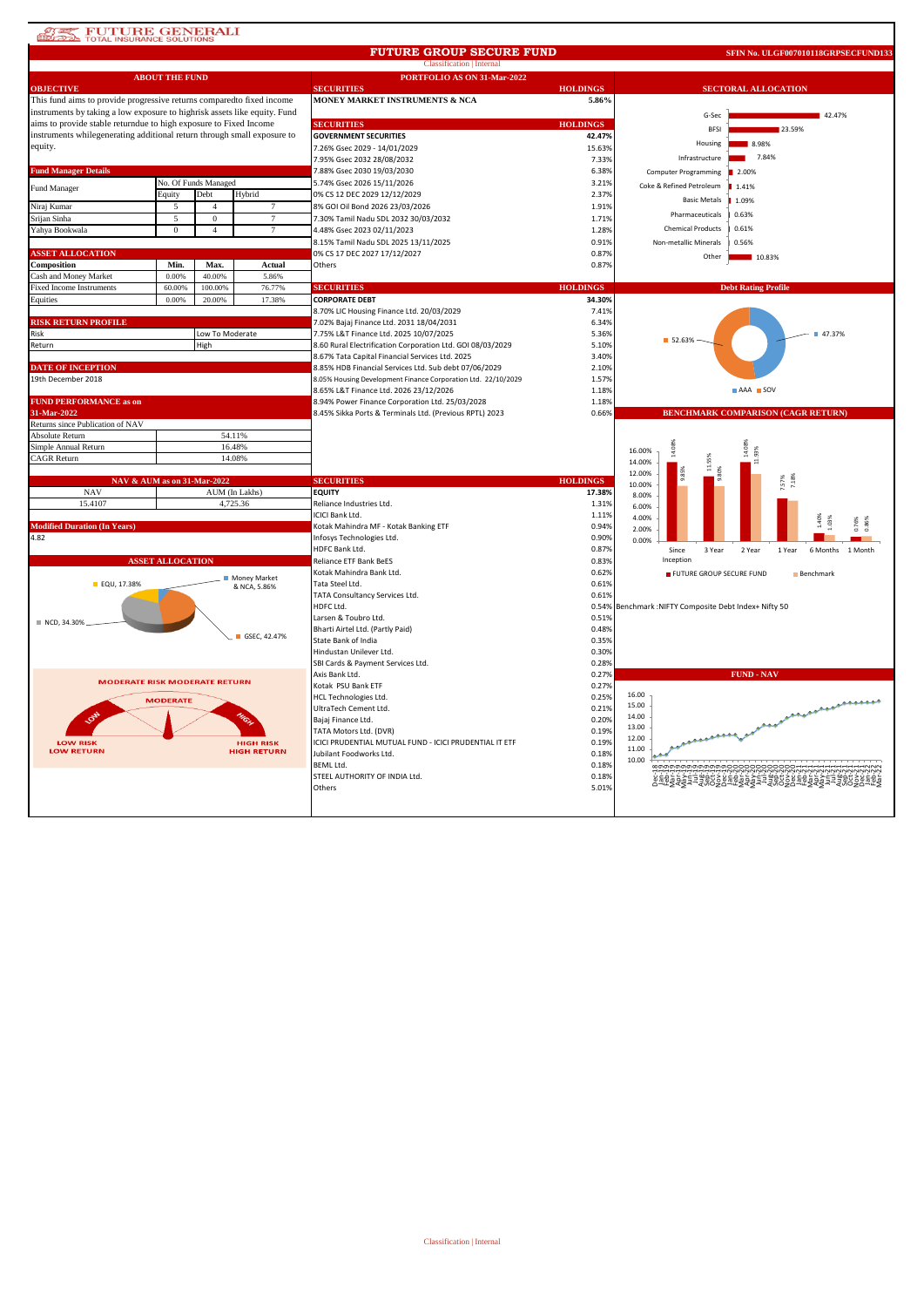## **ATE FUTURE GENERALI**

#### Classification | Internal **FUTURE GROUP SECURE FUND**

**SFIN No. ULGF007010118GRPSECFUND13** 

|                                                                                | <b>ABOUT THE FUND</b>   |                      |                              | PORTFOLIO AS ON 31-Mar-2022                                   |                 |                                                            |  |  |  |
|--------------------------------------------------------------------------------|-------------------------|----------------------|------------------------------|---------------------------------------------------------------|-----------------|------------------------------------------------------------|--|--|--|
| <b>OBJECTIVE</b>                                                               |                         |                      |                              | <b>SECURITIES</b>                                             | <b>HOLDINGS</b> | <b>SECTORAL ALLOCATION</b>                                 |  |  |  |
| This fund aims to provide progressive returns compared to fixed income         |                         |                      |                              | MONEY MARKET INSTRUMENTS & NCA                                | 5.86%           |                                                            |  |  |  |
| instruments by taking a low exposure to highrisk assets like equity. Fund      |                         |                      |                              |                                                               |                 | G-Sec<br>42.47%                                            |  |  |  |
| aims to provide stable returndue to high exposure to Fixed Income              |                         |                      |                              | <b>SECURITIES</b>                                             | <b>HOLDINGS</b> | <b>BESI</b><br>23.59%                                      |  |  |  |
| instruments whilegenerating additional return through small exposure to        |                         |                      |                              | <b>GOVERNMENT SECURITIES</b>                                  | 42.47%          | 8.98%<br>Housing                                           |  |  |  |
| equity.                                                                        |                         |                      |                              | 7.26% Gsec 2029 - 14/01/2029                                  | 15.63%          |                                                            |  |  |  |
|                                                                                |                         |                      |                              | 7.95% Gsec 2032 28/08/2032                                    | 7.33%           | 7.84%<br>Infrastructure                                    |  |  |  |
| <b>Fund Manager Details</b>                                                    |                         |                      |                              | 7.88% Gsec 2030 19/03/2030                                    | 6.38%           | <b>Computer Programming</b><br>2.00%                       |  |  |  |
| Fund Manager                                                                   |                         | No. Of Funds Managed |                              | 5.74% Gsec 2026 15/11/2026                                    | 3.21%           | Coke & Refined Petroleum<br>1.41%                          |  |  |  |
|                                                                                | Equity                  | Debt                 | Hybrid                       | 0% CS 12 DEC 2029 12/12/2029                                  | 2.37%           | <b>Basic Metals</b><br>1.09%                               |  |  |  |
| Niraj Kumar                                                                    | 5                       | $\overline{4}$       | 7                            | 8% GOI Oil Bond 2026 23/03/2026                               | 1.91%           |                                                            |  |  |  |
| Srijan Sinha                                                                   | 5                       | $\mathbf{0}$         | $\overline{7}$               | 7.30% Tamil Nadu SDL 2032 30/03/2032                          | 1.71%           | Pharmaceuticals<br>0.63%                                   |  |  |  |
| Yahya Bookwala                                                                 | $\mathbf{0}$            | $\overline{4}$       | $\overline{7}$               | 4.48% Gsec 2023 02/11/2023                                    | 1.28%           | <b>Chemical Products</b><br>0.61%                          |  |  |  |
|                                                                                |                         |                      |                              | 8.15% Tamil Nadu SDL 2025 13/11/2025                          | 0.91%           | Non-metallic Minerals<br>0.56%                             |  |  |  |
| <b>ASSET ALLOCATION</b>                                                        |                         |                      |                              | 0% CS 17 DEC 2027 17/12/2027                                  | 0.87%           | Other<br>10.83%                                            |  |  |  |
| Composition                                                                    | Min.                    | Max.                 | Actual                       | Others                                                        | 0.87%           |                                                            |  |  |  |
| Cash and Money Market                                                          | 0.00%                   | 40.00%               | 5.86%                        |                                                               |                 |                                                            |  |  |  |
| <b>Fixed Income Instruments</b>                                                | 60.00%                  | 100,00%              | 76.77%                       | <b>SECURITIES</b>                                             | <b>HOLDINGS</b> | <b>Debt Rating Profile</b>                                 |  |  |  |
| Equities                                                                       | 0.00%                   | 20.00%               | 17.38%                       | <b>CORPORATE DEBT</b>                                         | 34.30%          |                                                            |  |  |  |
|                                                                                |                         |                      |                              | 8.70% LIC Housing Finance Ltd. 20/03/2029                     | 7.41%           |                                                            |  |  |  |
| RISK RETURN PROFILE                                                            |                         |                      |                              | 7.02% Bajaj Finance Ltd. 2031 18/04/2031                      | 6.34%           |                                                            |  |  |  |
| Risk                                                                           |                         | Low To Moderate      |                              | 7.75% L&T Finance Ltd. 2025 10/07/2025                        | 5.36%           | ■ 47.37%<br>52.63%                                         |  |  |  |
| Return                                                                         |                         | High                 |                              | 8.60 Rural Electrification Corporation Ltd. GOI 08/03/2029    | 5.10%           |                                                            |  |  |  |
|                                                                                |                         |                      |                              | 8.67% Tata Capital Financial Services Ltd. 2025               | 3.40%           |                                                            |  |  |  |
| <b>DATE OF INCEPTION</b>                                                       |                         |                      |                              | 8.85% HDB Financial Services Ltd. Sub debt 07/06/2029         | 2.10%           |                                                            |  |  |  |
| 19th December 2018                                                             |                         |                      |                              | 8.05% Housing Development Finance Corporation Ltd. 22/10/2029 | 1.57%           |                                                            |  |  |  |
|                                                                                |                         |                      |                              | 8.65% L&T Finance Ltd. 2026 23/12/2026                        | 1.18%           | AAA SOV                                                    |  |  |  |
| <b>FUND PERFORMANCE as on</b>                                                  |                         |                      |                              | 8.94% Power Finance Corporation Ltd. 25/03/2028               | 1.18%           |                                                            |  |  |  |
| 31-Mar-2022<br>Returns since Publication of NAV                                |                         |                      |                              | 8.45% Sikka Ports & Terminals Ltd. (Previous RPTL) 2023       | 0.66%           | <b>BENCHMARK COMPARISON (CAGR RETURN)</b>                  |  |  |  |
| <b>Absolute Return</b>                                                         |                         |                      | 54.11%                       |                                                               |                 |                                                            |  |  |  |
| Simple Annual Return                                                           |                         |                      | 16.48%                       |                                                               |                 |                                                            |  |  |  |
| <b>CAGR Return</b>                                                             |                         |                      | 14.08%                       |                                                               |                 | 14.08%<br>16.00%                                           |  |  |  |
|                                                                                |                         |                      |                              |                                                               |                 | 14.00%                                                     |  |  |  |
| NAV & AUM as on 31-Mar-2022                                                    |                         |                      |                              | <b>SECURITIES</b>                                             | <b>HOLDINGS</b> | 12.00%                                                     |  |  |  |
| <b>NAV</b>                                                                     |                         |                      | AUM (In Lakhs)               | <b>EQUITY</b>                                                 | 17.38%          | 10.00%                                                     |  |  |  |
| 15.4107                                                                        |                         |                      | 4,725.36                     | Reliance Industries Ltd.                                      | 1.31%           | 8.00%<br>6.00%                                             |  |  |  |
|                                                                                |                         |                      |                              | ICICI Bank Ltd.                                               | 1.11%           | 4.00%                                                      |  |  |  |
| <b>Modified Duration (In Years)</b>                                            |                         |                      |                              | Kotak Mahindra MF - Kotak Banking ETF                         | 0.94%           | 1.40%<br>03%<br>2.00%                                      |  |  |  |
| 4.82                                                                           |                         |                      |                              | Infosys Technologies Ltd.                                     | 0.90%           | 0.00%                                                      |  |  |  |
|                                                                                |                         |                      |                              | HDFC Bank Ltd.                                                | 0.87%           | Since<br>3 Year<br>2 Year<br>6 Months<br>1 Year<br>1 Month |  |  |  |
|                                                                                | <b>ASSET ALLOCATION</b> |                      |                              | Reliance ETF Bank BeES                                        | 0.83%           | Inception                                                  |  |  |  |
|                                                                                |                         |                      |                              | Kotak Mahindra Bank Ltd.                                      | 0.62%           | FUTURE GROUP SECURE FUND<br><b>Benchmark</b>               |  |  |  |
| EQU, 17.38%                                                                    |                         |                      | Money Market<br>& NCA, 5.86% | Tata Steel Ltd.                                               | 0.61%           |                                                            |  |  |  |
|                                                                                |                         |                      |                              | TATA Consultancy Services Ltd.                                | 0.61%           |                                                            |  |  |  |
|                                                                                |                         |                      |                              | HDFC Ltd.                                                     | 0.54%           | Benchmark : NIFTY Composite Debt Index+ Nifty 50           |  |  |  |
| ■ NCD, 34.30%                                                                  |                         |                      |                              | Larsen & Toubro Ltd.                                          | 0.519           |                                                            |  |  |  |
|                                                                                |                         |                      |                              | Bharti Airtel Ltd. (Partly Paid)                              | 0.48%           |                                                            |  |  |  |
|                                                                                |                         |                      | GSEC, 42.47%                 | State Bank of India                                           | 0.35%           |                                                            |  |  |  |
|                                                                                |                         |                      |                              | Hindustan Unilever Ltd.                                       | 0.30%           |                                                            |  |  |  |
|                                                                                |                         |                      |                              | SBI Cards & Payment Services Ltd.                             | 0.28%           |                                                            |  |  |  |
| <b>MODERATE RISK MODERATE RETURN</b>                                           |                         |                      |                              | Axis Bank Ltd.                                                | 0.27%           | <b>FUND - NAV</b>                                          |  |  |  |
|                                                                                |                         |                      |                              | Kotak PSU Bank ETF                                            | 0.27%           |                                                            |  |  |  |
|                                                                                | <b>MODERATE</b>         |                      |                              | <b>HCL Technologies Ltd.</b>                                  | 0.25%           | 16.00<br><b><i>Propositions</i></b><br>15.00               |  |  |  |
|                                                                                |                         |                      |                              | UltraTech Cement Ltd.                                         | 0.21%           | 14.00                                                      |  |  |  |
|                                                                                |                         |                      |                              | Bajaj Finance Ltd.                                            | 0.20%           | وجعر<br>13.00                                              |  |  |  |
|                                                                                |                         |                      |                              | TATA Motors Ltd. (DVR)                                        | 0.19%           | 12.00                                                      |  |  |  |
| <b>HIGH RISK</b><br><b>LOW RISK</b><br><b>LOW RETURN</b><br><b>HIGH RETURN</b> |                         |                      |                              | ICICI PRUDENTIAL MUTUAL FUND - ICICI PRUDENTIAL IT ETF        | 0.19%           | 11.00                                                      |  |  |  |
|                                                                                |                         |                      |                              | Jubilant Foodworks Ltd.                                       | 0.18%           | 10.00                                                      |  |  |  |
|                                                                                |                         |                      |                              | <b>BEML Ltd.</b>                                              | 0.18%           |                                                            |  |  |  |
|                                                                                |                         |                      |                              | STEEL AUTHORITY OF INDIA Ltd.                                 | 0.18%           |                                                            |  |  |  |
|                                                                                |                         |                      |                              |                                                               |                 |                                                            |  |  |  |
|                                                                                |                         |                      |                              | Others                                                        | 5.01%           |                                                            |  |  |  |
|                                                                                |                         |                      |                              |                                                               |                 |                                                            |  |  |  |